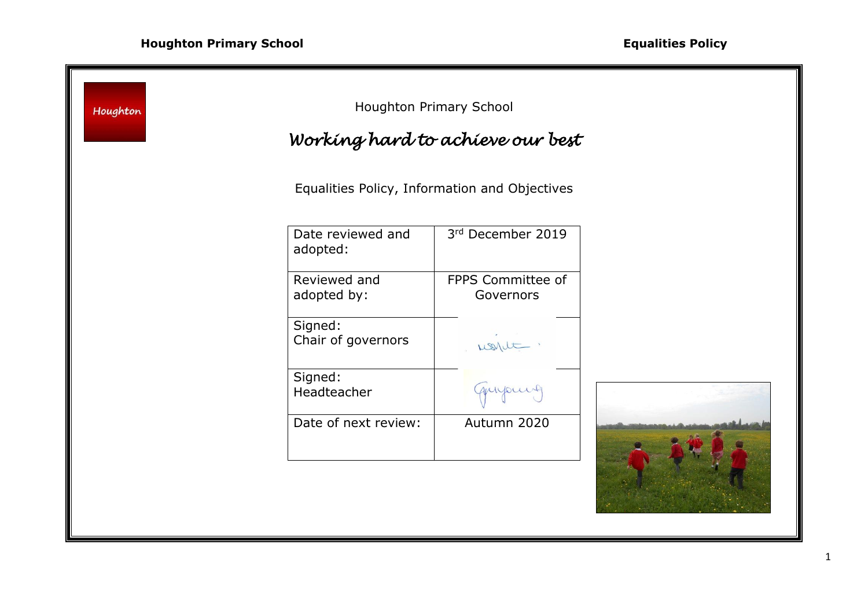| Houghton | Houghton Primary School       |                                               |  |
|----------|-------------------------------|-----------------------------------------------|--|
|          |                               | Working hard to achieve our best              |  |
|          |                               | Equalities Policy, Information and Objectives |  |
|          | Date reviewed and<br>adopted: | 3rd December 2019                             |  |
|          | Reviewed and<br>adopted by:   | FPPS Committee of<br>Governors                |  |
|          | Signed:<br>Chair of governors | world :                                       |  |
|          | Signed:<br>Headteacher        | myours                                        |  |
|          | Date of next review:          | Autumn 2020                                   |  |
|          |                               |                                               |  |

<u> 1980 - Johann Barn, mars an t-Amerikaansk ferske område og de formanne og de formanne og de formanne og de f</u>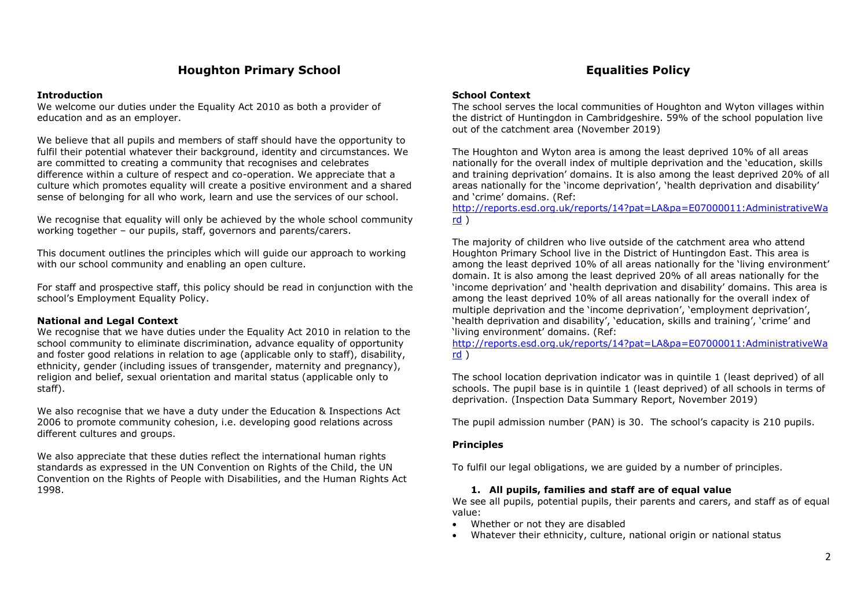### **Introduction**

We welcome our duties under the Equality Act 2010 as both a provider of education and as an employer.

We believe that all pupils and members of staff should have the opportunity to fulfil their potential whatever their background, identity and circumstances. We are committed to creating a community that recognises and celebrates difference within a culture of respect and co-operation. We appreciate that a culture which promotes equality will create a positive environment and a shared sense of belonging for all who work, learn and use the services of our school.

We recognise that equality will only be achieved by the whole school community working together – our pupils, staff, governors and parents/carers.

This document outlines the principles which will guide our approach to working with our school community and enabling an open culture.

For staff and prospective staff, this policy should be read in conjunction with the school's Employment Equality Policy.

# **National and Legal Context**

We recognise that we have duties under the Equality Act 2010 in relation to the school community to eliminate discrimination, advance equality of opportunity and foster good relations in relation to age (applicable only to staff), disability, ethnicity, gender (including issues of transgender, maternity and pregnancy), religion and belief, sexual orientation and marital status (applicable only to staff).

We also recognise that we have a duty under the Education & Inspections Act 2006 to promote community cohesion, i.e. developing good relations across different cultures and groups.

We also appreciate that these duties reflect the international human rights standards as expressed in the UN Convention on Rights of the Child, the UN Convention on the Rights of People with Disabilities, and the Human Rights Act 1998.

### **School Context**

The school serves the local communities of Houghton and Wyton villages within the district of Huntingdon in Cambridgeshire. 59% of the school population live out of the catchment area (November 2019)

The Houghton and Wyton area is among the least deprived 10% of all areas nationally for the overall index of multiple deprivation and the 'education, skills and training deprivation' domains. It is also among the least deprived 20% of all areas nationally for the 'income deprivation', 'health deprivation and disability' and 'crime' domains. (Ref:

[http://reports.esd.org.uk/reports/14?pat=LA&pa=E07000011:AdministrativeWa](http://reports.esd.org.uk/reports/14?pat=LA&pa=E07000011:AdministrativeWard) [rd](http://reports.esd.org.uk/reports/14?pat=LA&pa=E07000011:AdministrativeWard) )

The majority of children who live outside of the catchment area who attend Houghton Primary School live in the District of Huntingdon East. This area is among the least deprived 10% of all areas nationally for the 'living environment' domain. It is also among the least deprived 20% of all areas nationally for the 'income deprivation' and 'health deprivation and disability' domains. This area is among the least deprived 10% of all areas nationally for the overall index of multiple deprivation and the 'income deprivation', 'employment deprivation', 'health deprivation and disability', 'education, skills and training', 'crime' and 'living environment' domains. (Ref:

[http://reports.esd.org.uk/reports/14?pat=LA&pa=E07000011:AdministrativeWa](http://reports.esd.org.uk/reports/14?pat=LA&pa=E07000011:AdministrativeWard) [rd](http://reports.esd.org.uk/reports/14?pat=LA&pa=E07000011:AdministrativeWard) )

The school location deprivation indicator was in quintile 1 (least deprived) of all schools. The pupil base is in quintile 1 (least deprived) of all schools in terms of deprivation. (Inspection Data Summary Report, November 2019)

The pupil admission number (PAN) is 30. The school's capacity is 210 pupils.

# **Principles**

To fulfil our legal obligations, we are guided by a number of principles.

# **1. All pupils, families and staff are of equal value**

We see all pupils, potential pupils, their parents and carers, and staff as of equal value:

- Whether or not they are disabled
- Whatever their ethnicity, culture, national origin or national status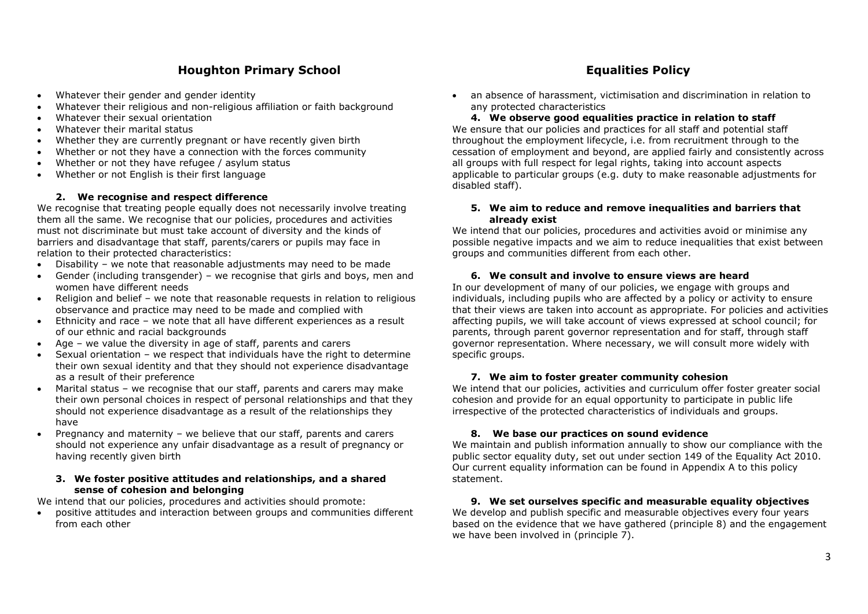- Whatever their gender and gender identity
- Whatever their religious and non-religious affiliation or faith background
- Whatever their sexual orientation
- Whatever their marital status
- Whether they are currently pregnant or have recently given birth
- Whether or not they have a connection with the forces community
- Whether or not they have refugee / asylum status
- Whether or not English is their first language

# **2. We recognise and respect difference**

We recognise that treating people equally does not necessarily involve treating them all the same. We recognise that our policies, procedures and activities must not discriminate but must take account of diversity and the kinds of barriers and disadvantage that staff, parents/carers or pupils may face in relation to their protected characteristics:

- Disability we note that reasonable adjustments may need to be made
- Gender (including transgender) we recognise that girls and boys, men and women have different needs
- Religion and belief we note that reasonable requests in relation to religious observance and practice may need to be made and complied with
- Ethnicity and race we note that all have different experiences as a result of our ethnic and racial backgrounds
- Age we value the diversity in age of staff, parents and carers
- Sexual orientation we respect that individuals have the right to determine their own sexual identity and that they should not experience disadvantage as a result of their preference
- Marital status we recognise that our staff, parents and carers may make their own personal choices in respect of personal relationships and that they should not experience disadvantage as a result of the relationships they have
- Pregnancy and maternity we believe that our staff, parents and carers should not experience any unfair disadvantage as a result of pregnancy or having recently given birth

# **3. We foster positive attitudes and relationships, and a shared sense of cohesion and belonging**

We intend that our policies, procedures and activities should promote:

 positive attitudes and interaction between groups and communities different from each other

 an absence of harassment, victimisation and discrimination in relation to any protected characteristics

**4. We observe good equalities practice in relation to staff** We ensure that our policies and practices for all staff and potential staff throughout the employment lifecycle, i.e. from recruitment through to the cessation of employment and beyond, are applied fairly and consistently across all groups with full respect for legal rights, taking into account aspects applicable to particular groups (e.g. duty to make reasonable adjustments for disabled staff).

### **5. We aim to reduce and remove inequalities and barriers that already exist**

We intend that our policies, procedures and activities avoid or minimise any possible negative impacts and we aim to reduce inequalities that exist between groups and communities different from each other.

# **6. We consult and involve to ensure views are heard**

In our development of many of our policies, we engage with groups and individuals, including pupils who are affected by a policy or activity to ensure that their views are taken into account as appropriate. For policies and activities affecting pupils, we will take account of views expressed at school council; for parents, through parent governor representation and for staff, through staff governor representation. Where necessary, we will consult more widely with specific groups.

# **7. We aim to foster greater community cohesion**

We intend that our policies, activities and curriculum offer foster greater social cohesion and provide for an equal opportunity to participate in public life irrespective of the protected characteristics of individuals and groups.

# **8. We base our practices on sound evidence**

We maintain and publish information annually to show our compliance with the public sector equality duty, set out under section 149 of the Equality Act 2010. Our current equality information can be found in Appendix A to this policy statement.

# **9. We set ourselves specific and measurable equality objectives**

We develop and publish specific and measurable objectives every four years based on the evidence that we have gathered (principle 8) and the engagement we have been involved in (principle 7).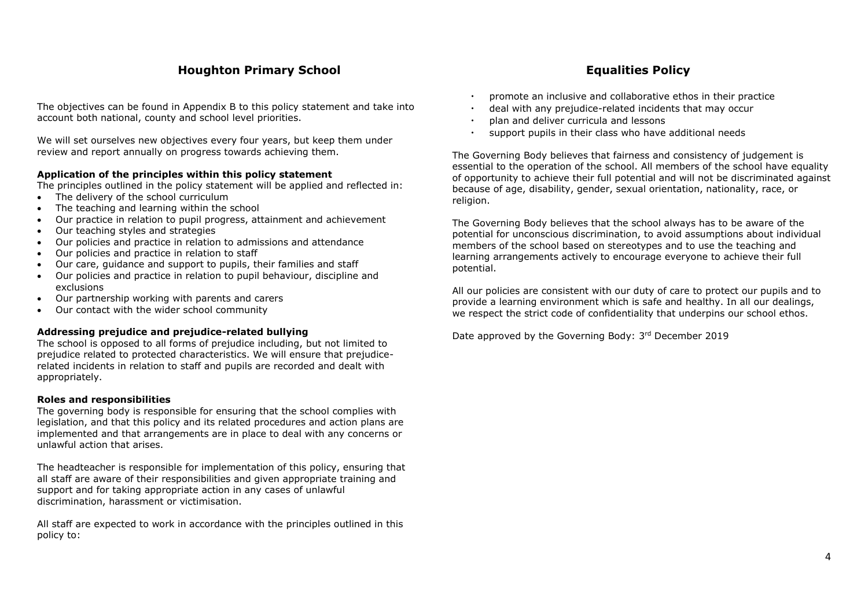The objectives can be found in Appendix B to this policy statement and take into account both national, county and school level priorities.

We will set ourselves new objectives every four years, but keep them under review and report annually on progress towards achieving them.

# **Application of the principles within this policy statement**

The principles outlined in the policy statement will be applied and reflected in:

- The delivery of the school curriculum
- The teaching and learning within the school
- Our practice in relation to pupil progress, attainment and achievement
- Our teaching styles and strategies
- Our policies and practice in relation to admissions and attendance
- Our policies and practice in relation to staff
- Our care, guidance and support to pupils, their families and staff
- Our policies and practice in relation to pupil behaviour, discipline and exclusions
- Our partnership working with parents and carers
- Our contact with the wider school community

# **Addressing prejudice and prejudice-related bullying**

The school is opposed to all forms of prejudice including, but not limited to prejudice related to protected characteristics. We will ensure that prejudicerelated incidents in relation to staff and pupils are recorded and dealt with appropriately.

# **Roles and responsibilities**

The governing body is responsible for ensuring that the school complies with legislation, and that this policy and its related procedures and action plans are implemented and that arrangements are in place to deal with any concerns or unlawful action that arises.

The headteacher is responsible for implementation of this policy, ensuring that all staff are aware of their responsibilities and given appropriate training and support and for taking appropriate action in any cases of unlawful discrimination, harassment or victimisation.

All staff are expected to work in accordance with the principles outlined in this policy to:

- promote an inclusive and collaborative ethos in their practice
- deal with any prejudice-related incidents that may occur
- plan and deliver curricula and lessons
- support pupils in their class who have additional needs

The Governing Body believes that fairness and consistency of judgement is essential to the operation of the school. All members of the school have equality of opportunity to achieve their full potential and will not be discriminated against because of age, disability, gender, sexual orientation, nationality, race, or religion.

The Governing Body believes that the school always has to be aware of the potential for unconscious discrimination, to avoid assumptions about individual members of the school based on stereotypes and to use the teaching and learning arrangements actively to encourage everyone to achieve their full potential.

All our policies are consistent with our duty of care to protect our pupils and to provide a learning environment which is safe and healthy. In all our dealings, we respect the strict code of confidentiality that underpins our school ethos.

Date approved by the Governing Body: 3rd December 2019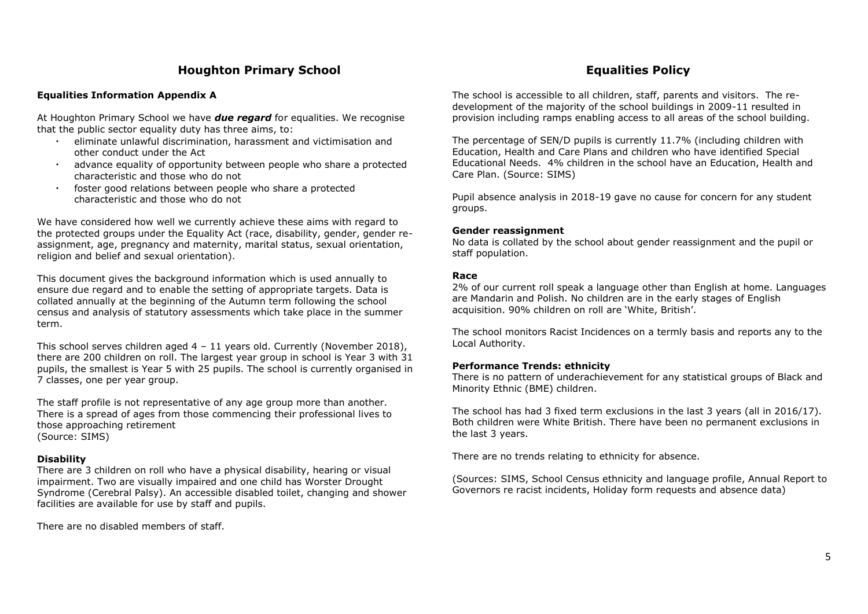# **Equalities Information Appendix A**

At Houghton Primary School we have *due regard* for equalities. We recognise that the public sector equality duty has three aims, to:

- eliminate unlawful discrimination, harassment and victimisation and other conduct under the Act
- advance equality of opportunity between people who share a protected characteristic and those who do not
- foster good relations between people who share a protected characteristic and those who do not

We have considered how well we currently achieve these aims with regard to the protected groups under the Equality Act (race, disability, gender, gender reassignment, age, pregnancy and maternity, marital status, sexual orientation, religion and belief and sexual orientation).

This document gives the background information which is used annually to ensure due regard and to enable the setting of appropriate targets. Data is collated annually at the beginning of the Autumn term following the school census and analysis of statutory assessments which take place in the summer term.

This school serves children aged  $4 - 11$  years old. Currently (November 2018), there are 200 children on roll. The largest year group in school is Year 3 with 31 pupils, the smallest is Year 5 with 25 pupils. The school is currently organised in 7 classes, one per year group.

The staff profile is not representative of any age group more than another. There is a spread of ages from those commencing their professional lives to those approaching retirement (Source: SIMS)

# **Disability**

There are 3 children on roll who have a physical disability, hearing or visual impairment. Two are visually impaired and one child has Worster Drought Syndrome (Cerebral Palsy). An accessible disabled toilet, changing and shower facilities are available for use by staff and pupils.

There are no disabled members of staff.

The school is accessible to all children, staff, parents and visitors. The redevelopment of the majority of the school buildings in 2009-11 resulted in provision including ramps enabling access to all areas of the school building.

The percentage of SEN/D pupils is currently 11.7% (including children with Education, Health and Care Plans and children who have identified Special Educational Needs. 4% children in the school have an Education, Health and Care Plan. (Source: SIMS)

Pupil absence analysis in 2018-19 gave no cause for concern for any student groups.

# **Gender reassignment**

No data is collated by the school about gender reassignment and the pupil or staff population.

# **Race**

2% of our current roll speak a language other than English at home. Languages are Mandarin and Polish. No children are in the early stages of English acquisition. 90% children on roll are 'White, British'.

The school monitors Racist Incidences on a termly basis and reports any to the Local Authority.

# **Performance Trends: ethnicity**

There is no pattern of underachievement for any statistical groups of Black and Minority Ethnic (BME) children.

The school has had 3 fixed term exclusions in the last 3 years (all in 2016/17). Both children were White British. There have been no permanent exclusions in the last 3 years.

There are no trends relating to ethnicity for absence.

(Sources: SIMS, School Census ethnicity and language profile, Annual Report to Governors re racist incidents, Holiday form requests and absence data)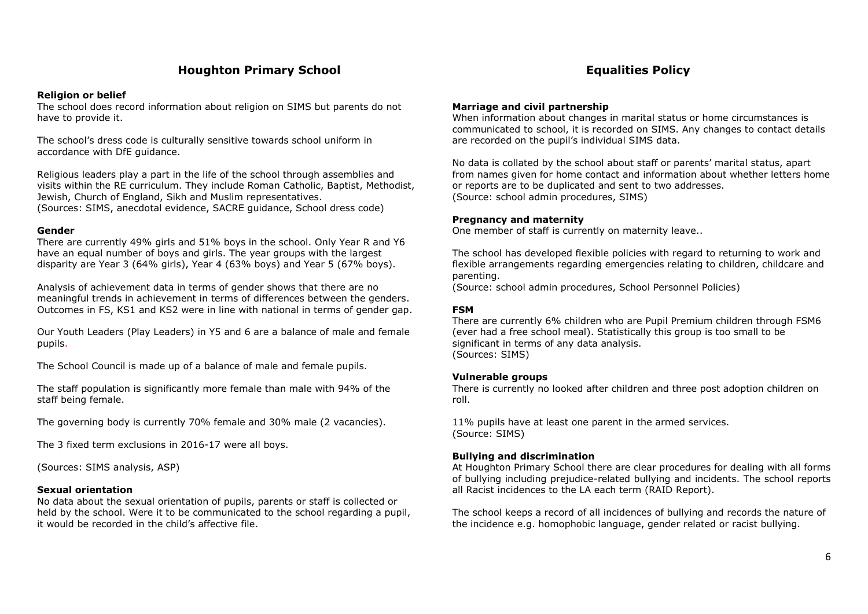### **Religion or belief**

The school does record information about religion on SIMS but parents do not have to provide it.

The school's dress code is culturally sensitive towards school uniform in accordance with DfE guidance.

Religious leaders play a part in the life of the school through assemblies and visits within the RE curriculum. They include Roman Catholic, Baptist, Methodist, Jewish, Church of England, Sikh and Muslim representatives. (Sources: SIMS, anecdotal evidence, SACRE guidance, School dress code)

# **Gender**

There are currently 49% girls and 51% boys in the school. Only Year R and Y6 have an equal number of boys and girls. The year groups with the largest disparity are Year 3 (64% girls), Year 4 (63% boys) and Year 5 (67% boys).

Analysis of achievement data in terms of gender shows that there are no meaningful trends in achievement in terms of differences between the genders. Outcomes in FS, KS1 and KS2 were in line with national in terms of gender gap.

Our Youth Leaders (Play Leaders) in Y5 and 6 are a balance of male and female pupils.

The School Council is made up of a balance of male and female pupils.

The staff population is significantly more female than male with 94% of the staff being female.

The governing body is currently 70% female and 30% male (2 vacancies).

The 3 fixed term exclusions in 2016-17 were all boys.

(Sources: SIMS analysis, ASP)

# **Sexual orientation**

No data about the sexual orientation of pupils, parents or staff is collected or held by the school. Were it to be communicated to the school regarding a pupil, it would be recorded in the child's affective file.

# **Marriage and civil partnership**

When information about changes in marital status or home circumstances is communicated to school, it is recorded on SIMS. Any changes to contact details are recorded on the pupil's individual SIMS data.

No data is collated by the school about staff or parents' marital status, apart from names given for home contact and information about whether letters home or reports are to be duplicated and sent to two addresses. (Source: school admin procedures, SIMS)

# **Pregnancy and maternity**

One member of staff is currently on maternity leave..

The school has developed flexible policies with regard to returning to work and flexible arrangements regarding emergencies relating to children, childcare and parenting.

(Source: school admin procedures, School Personnel Policies)

# **FSM**

There are currently 6% children who are Pupil Premium children through FSM6 (ever had a free school meal). Statistically this group is too small to be significant in terms of any data analysis. (Sources: SIMS)

# **Vulnerable groups**

There is currently no looked after children and three post adoption children on roll.

11% pupils have at least one parent in the armed services. (Source: SIMS)

# **Bullying and discrimination**

At Houghton Primary School there are clear procedures for dealing with all forms of bullying including prejudice-related bullying and incidents. The school reports all Racist incidences to the LA each term (RAID Report).

The school keeps a record of all incidences of bullying and records the nature of the incidence e.g. homophobic language, gender related or racist bullying.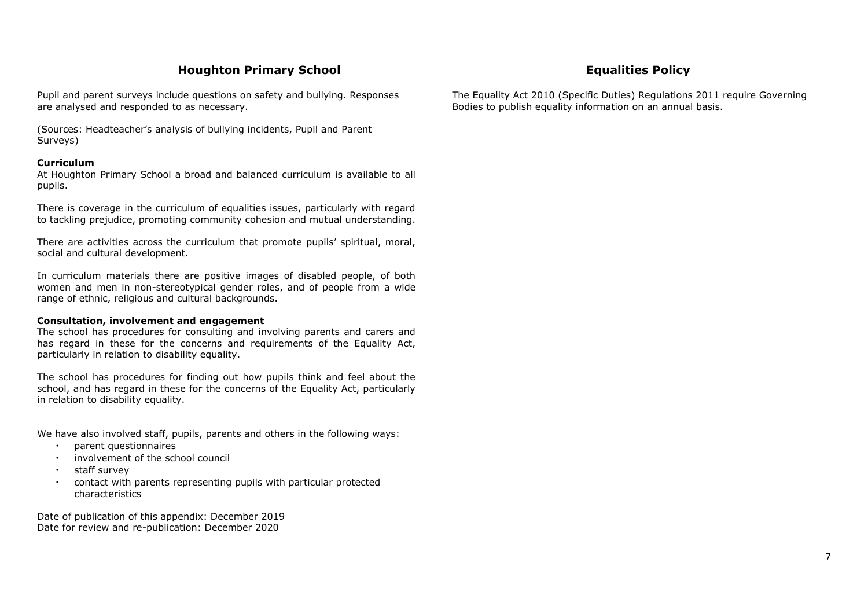Pupil and parent surveys include questions on safety and bullying. Responses are analysed and responded to as necessary.

(Sources: Headteacher's analysis of bullying incidents, Pupil and Parent Surveys)

# **Curriculum**

At Houghton Primary School a broad and balanced curriculum is available to all pupils.

There is coverage in the curriculum of equalities issues, particularly with regard to tackling prejudice, promoting community cohesion and mutual understanding.

There are activities across the curriculum that promote pupils' spiritual, moral, social and cultural development.

In curriculum materials there are positive images of disabled people, of both women and men in non-stereotypical gender roles, and of people from a wide range of ethnic, religious and cultural backgrounds.

# **Consultation, involvement and engagement**

The school has procedures for consulting and involving parents and carers and has regard in these for the concerns and requirements of the Equality Act, particularly in relation to disability equality.

The school has procedures for finding out how pupils think and feel about the school, and has regard in these for the concerns of the Equality Act, particularly in relation to disability equality.

We have also involved staff, pupils, parents and others in the following ways:

- parent questionnaires
- involvement of the school council
- staff survey
- contact with parents representing pupils with particular protected characteristics

Date of publication of this appendix: December 2019 Date for review and re-publication: December 2020

The Equality Act 2010 (Specific Duties) Regulations 2011 require Governing Bodies to publish equality information on an annual basis.